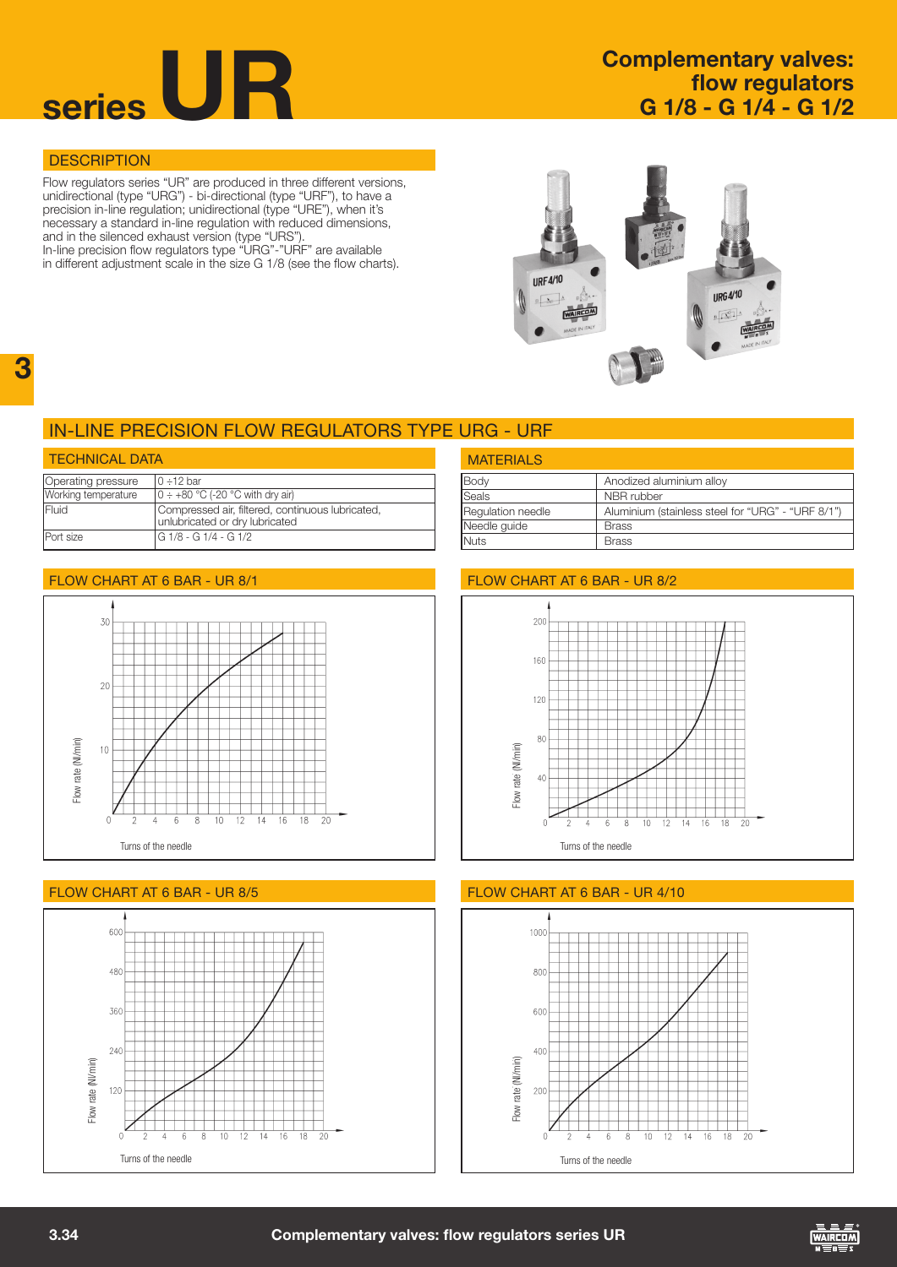

# flow regulators G 1/8 - G 1/4 - G 1/2

### **DESCRIPTION**

Flow regulators series "UR" are produced in three different versions, unidirectional (type "URG") - bi-directional (type "URF"), to have a precision in-line regulation; unidirectional (type "URE"), when it's necessary a standard in-line regulation with reduced dimensions, and in the silenced exhaust version (type "URS").

In-line precision flow regulators type "URG"-"URF" are available in different adjustment scale in the size G 1/8 (see the flow charts).



## in-line PRECISION flow regulators type urg - urf

| <b>TECHNICAL DATA</b> |                                                                                    |  |  |  |
|-----------------------|------------------------------------------------------------------------------------|--|--|--|
| Operating pressure    | $0 - 12$ har                                                                       |  |  |  |
| Working temperature   | $0 \div 480$ °C (-20 °C with dry air)                                              |  |  |  |
| <b>IFluid</b>         | Compressed air, filtered, continuous lubricated,<br>unlubricated or dry lubricated |  |  |  |
| <b>Port size</b>      | G 1/8 - G 1/4 - G 1/2                                                              |  |  |  |

## Body Robert Anodized aluminium alloy Seals NBR rubber Regulation needle Aluminium (stainless steel for "URG" - "URF 8/1") Needle guide | Brass Nuts **Brass MATERIALS**



### FLOW CHART AT 6 BAR - UR 8/5 **flow chart at 6 bar - UR 4/10**